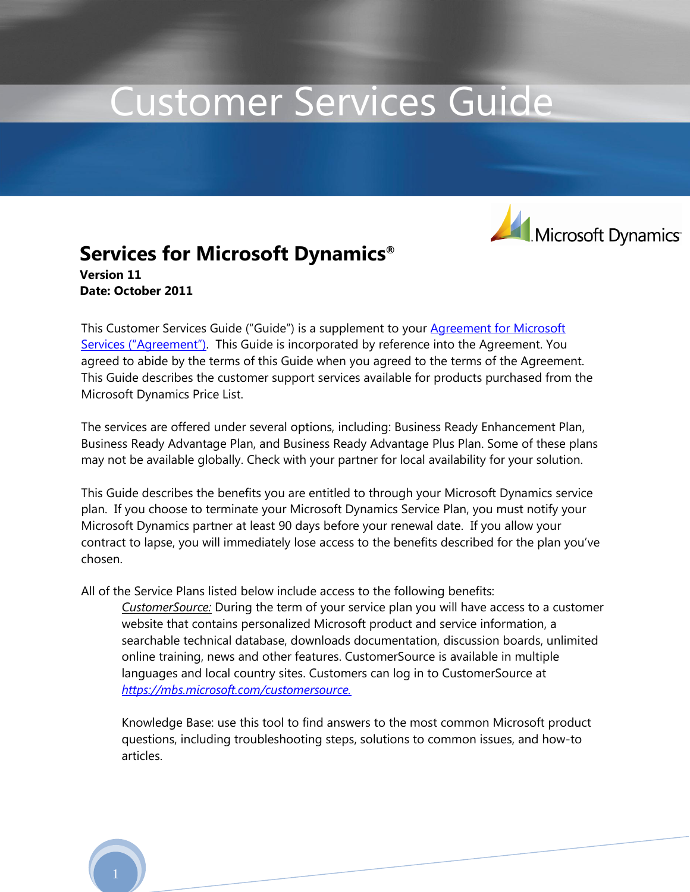# Customer Services Guide



### **Services for Microsoft Dynamics® Version 11 Date: October 2011**

This Customer Services Guide ("Guide") is a supplement to your **Agreement for Microsoft** [Services \("Agreement"\)](https://mbs.microsoft.com/customersource/worldwide/us/serviceplans/customerserviceplans/services_guidebook.htm). This Guide is incorporated by reference into the Agreement. You agreed to abide by the terms of this Guide when you agreed to the terms of the Agreement. This Guide describes the customer support services available for products purchased from the Microsoft Dynamics Price List.

The services are offered under several options, including: Business Ready Enhancement Plan, Business Ready Advantage Plan, and Business Ready Advantage Plus Plan. Some of these plans may not be available globally. Check with your partner for local availability for your solution.

This Guide describes the benefits you are entitled to through your Microsoft Dynamics service plan. If you choose to terminate your Microsoft Dynamics Service Plan, you must notify your Microsoft Dynamics partner at least 90 days before your renewal date. If you allow your contract to lapse, you will immediately lose access to the benefits described for the plan you've chosen.

All of the Service Plans listed below include access to the following benefits:

*CustomerSource:* During the term of your service plan you will have access to a customer website that contains personalized Microsoft product and service information, a searchable technical database, downloads documentation, discussion boards, unlimited online training, news and other features. CustomerSource is available in multiple languages and local country sites. Customers can log in to CustomerSource at *[https://mbs.microsoft.com/customersource.](https://mbs.microsoft.com/customersource)*

Knowledge Base: use this tool to find answers to the most common Microsoft product questions, including troubleshooting steps, solutions to common issues, and how-to articles.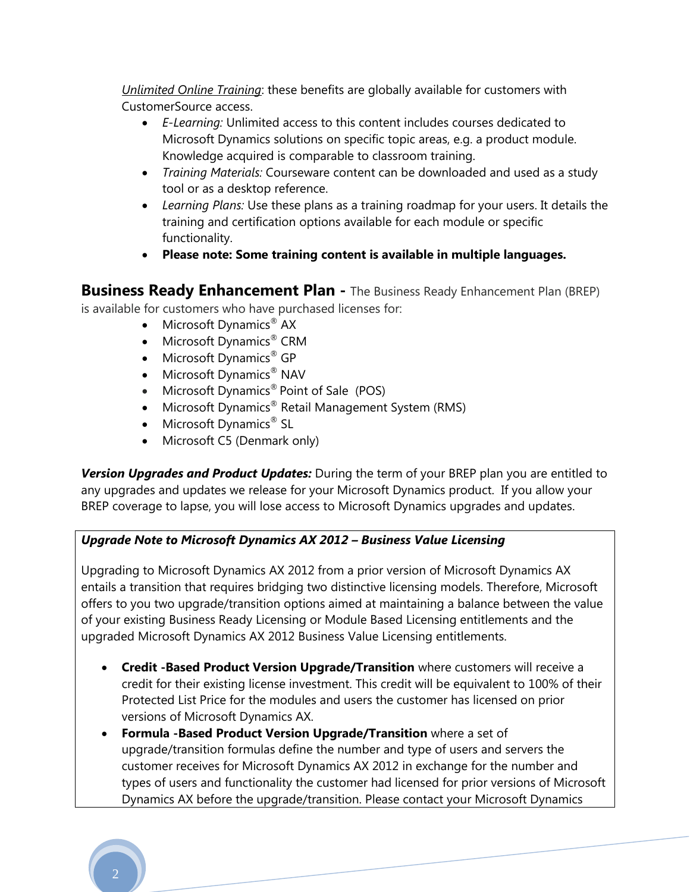*Unlimited Online Training*: these benefits are globally available for customers with CustomerSource access.

- *E-Learning:* Unlimited access to this content includes courses dedicated to Microsoft Dynamics solutions on specific topic areas, e.g. a product module. Knowledge acquired is comparable to classroom training.
- *Training Materials:* Courseware content can be downloaded and used as a study tool or as a desktop reference.
- *Learning Plans:* Use these plans as a training roadmap for your users. It details the training and certification options available for each module or specific functionality.
- **Please note: Some training content is available in multiple languages.**

## **Business Ready Enhancement Plan -** The Business Ready Enhancement Plan (BREP)

is available for customers who have purchased licenses for:

- $\bullet$  Microsoft Dynamics<sup>®</sup> AX
- Microsoft Dynamics<sup>®</sup> CRM
- $\bullet$  Microsoft Dynamics<sup>®</sup> GP
- Microsoft Dynamics<sup>®</sup> NAV
- Microsoft Dynamics<sup>®</sup> Point of Sale (POS)
- Microsoft Dynamics® Retail Management System (RMS)
- Microsoft Dynamics<sup>®</sup> SL
- Microsoft C5 (Denmark only)

*Version Upgrades and Product Updates:* During the term of your BREP plan you are entitled to any upgrades and updates we release for your Microsoft Dynamics product. If you allow your BREP coverage to lapse, you will lose access to Microsoft Dynamics upgrades and updates.

#### *Upgrade Note to Microsoft Dynamics AX 2012 – Business Value Licensing*

Upgrading to Microsoft Dynamics AX 2012 from a prior version of Microsoft Dynamics AX entails a transition that requires bridging two distinctive licensing models. Therefore, Microsoft offers to you two upgrade/transition options aimed at maintaining a balance between the value of your existing Business Ready Licensing or Module Based Licensing entitlements and the upgraded Microsoft Dynamics AX 2012 Business Value Licensing entitlements.

- **Credit -Based Product Version Upgrade/Transition** where customers will receive a credit for their existing license investment. This credit will be equivalent to 100% of their Protected List Price for the modules and users the customer has licensed on prior versions of Microsoft Dynamics AX.
- **Formula -Based Product Version Upgrade/Transition** where a set of upgrade/transition formulas define the number and type of users and servers the customer receives for Microsoft Dynamics AX 2012 in exchange for the number and types of users and functionality the customer had licensed for prior versions of Microsoft Dynamics AX before the upgrade/transition. Please contact your Microsoft Dynamics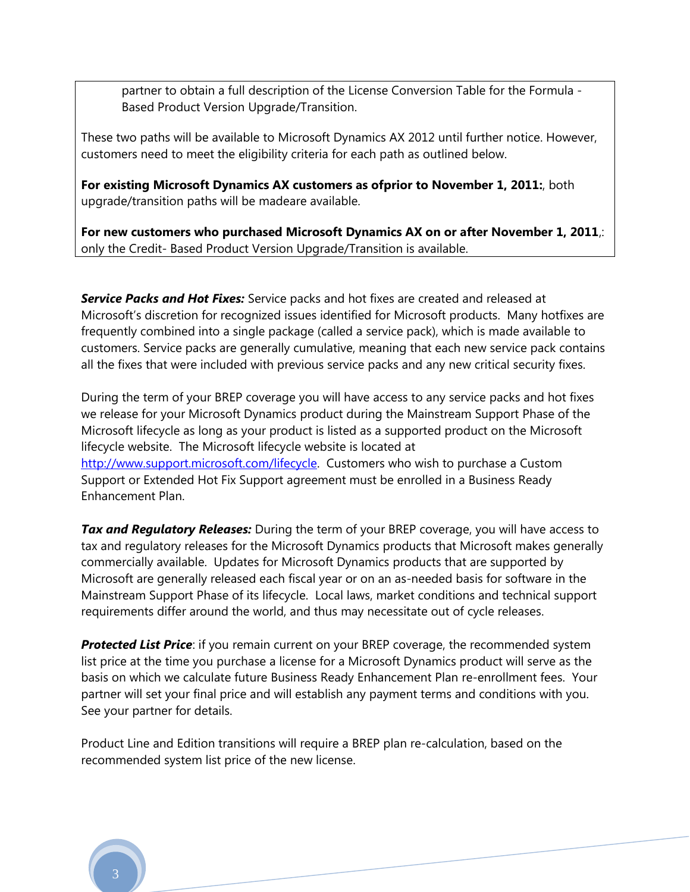partner to obtain a full description of the License Conversion Table for the Formula - Based Product Version Upgrade/Transition.

These two paths will be available to Microsoft Dynamics AX 2012 until further notice. However, customers need to meet the eligibility criteria for each path as outlined below.

**For existing Microsoft Dynamics AX customers as ofprior to November 1, 2011:**, both upgrade/transition paths will be madeare available.

**For new customers who purchased Microsoft Dynamics AX on or after November 1, 2011**,: only the Credit- Based Product Version Upgrade/Transition is available.

*Service Packs and Hot Fixes:* Service packs and hot fixes are created and released at Microsoft's discretion for recognized issues identified for Microsoft products. Many hotfixes are frequently combined into a single package (called a service pack), which is made available to customers. Service packs are generally cumulative, meaning that each new service pack contains all the fixes that were included with previous service packs and any new critical security fixes.

During the term of your BREP coverage you will have access to any service packs and hot fixes we release for your Microsoft Dynamics product during the Mainstream Support Phase of the Microsoft lifecycle as long as your product is listed as a supported product on the Microsoft lifecycle website. The Microsoft lifecycle website is located at [http://www.support.microsoft.com/lifecycle.](http://www.support.microsoft.com/lifecycle) Customers who wish to purchase a Custom Support or Extended Hot Fix Support agreement must be enrolled in a Business Ready Enhancement Plan.

*Tax and Regulatory Releases:* During the term of your BREP coverage, you will have access to tax and regulatory releases for the Microsoft Dynamics products that Microsoft makes generally commercially available. Updates for Microsoft Dynamics products that are supported by Microsoft are generally released each fiscal year or on an as-needed basis for software in the Mainstream Support Phase of its lifecycle. Local laws, market conditions and technical support requirements differ around the world, and thus may necessitate out of cycle releases.

**Protected List Price**: if you remain current on your BREP coverage, the recommended system list price at the time you purchase a license for a Microsoft Dynamics product will serve as the basis on which we calculate future Business Ready Enhancement Plan re-enrollment fees. Your partner will set your final price and will establish any payment terms and conditions with you. See your partner for details.

Product Line and Edition transitions will require a BREP plan re-calculation, based on the recommended system list price of the new license.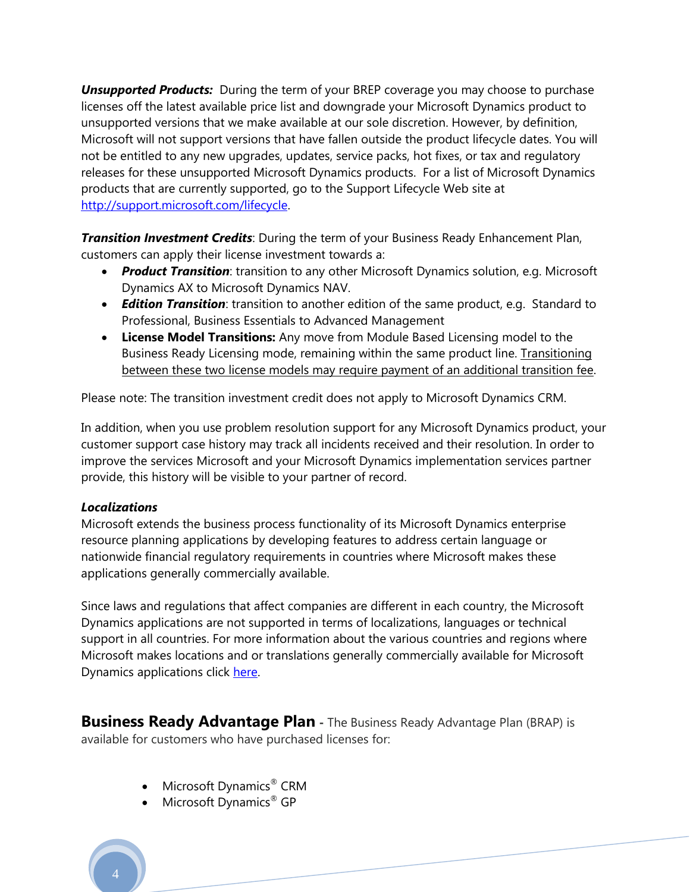**Unsupported Products:** During the term of your BREP coverage you may choose to purchase licenses off the latest available price list and downgrade your Microsoft Dynamics product to unsupported versions that we make available at our sole discretion. However, by definition, Microsoft will not support versions that have fallen outside the product lifecycle dates. You will not be entitled to any new upgrades, updates, service packs, hot fixes, or tax and regulatory releases for these unsupported Microsoft Dynamics products. For a list of Microsoft Dynamics products that are currently supported, go to the Support Lifecycle Web site at [http://support.microsoft.com/lifecycle.](http://support.microsoft.com/lifecycle)

*Transition Investment Credits*: During the term of your Business Ready Enhancement Plan, customers can apply their license investment towards a:

- **Product Transition**: transition to any other Microsoft Dynamics solution, e.g. Microsoft Dynamics AX to Microsoft Dynamics NAV.
- *Edition Transition*: transition to another edition of the same product, e.g. Standard to Professional, Business Essentials to Advanced Management
- **License Model Transitions:** Any move from Module Based Licensing model to the Business Ready Licensing mode, remaining within the same product line. Transitioning between these two license models may require payment of an additional transition fee.

Please note: The transition investment credit does not apply to Microsoft Dynamics CRM.

In addition, when you use problem resolution support for any Microsoft Dynamics product, your customer support case history may track all incidents received and their resolution. In order to improve the services Microsoft and your Microsoft Dynamics implementation services partner provide, this history will be visible to your partner of record.

#### *Localizations*

Microsoft extends the business process functionality of its Microsoft Dynamics enterprise resource planning applications by developing features to address certain language or nationwide financial regulatory requirements in countries where Microsoft makes these applications generally commercially available.

Since laws and regulations that affect companies are different in each country, the Microsoft Dynamics applications are not supported in terms of localizations, languages or technical support in all countries. For more information about the various countries and regions where Microsoft makes locations and or translations generally commercially available for Microsoft Dynamics applications click [here.](https://mbs.microsoft.com/partnersource/marketing/campaigns/advertising/MSD_LocalizationTranslation)

**Business Ready Advantage Plan -** The Business Ready Advantage Plan (BRAP) is available for customers who have purchased licenses for:

- Microsoft Dynamics<sup>®</sup> CRM
- Microsoft Dynamics<sup>®</sup> GP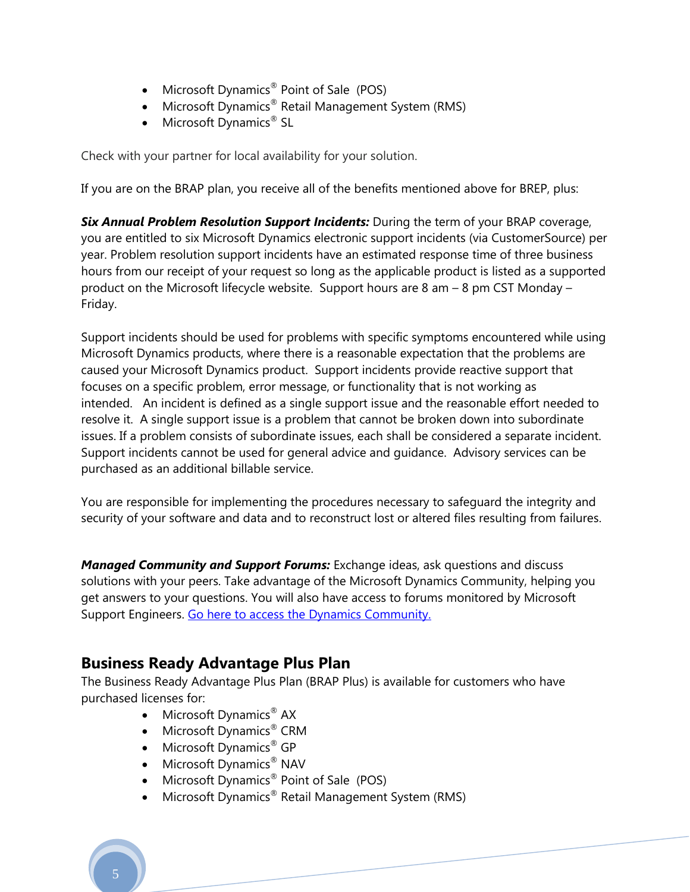- Microsoft Dynamics<sup>®</sup> Point of Sale (POS)
- Microsoft Dynamics® Retail Management System (RMS)
- Microsoft Dynamics<sup>®</sup> SL

Check with your partner for local availability for your solution.

If you are on the BRAP plan, you receive all of the benefits mentioned above for BREP, plus:

*Six Annual Problem Resolution Support Incidents:* During the term of your BRAP coverage, you are entitled to six Microsoft Dynamics electronic support incidents (via CustomerSource) per year. Problem resolution support incidents have an estimated response time of three business hours from our receipt of your request so long as the applicable product is listed as a supported product on the Microsoft lifecycle website. Support hours are 8 am – 8 pm CST Monday – Friday.

Support incidents should be used for problems with specific symptoms encountered while using Microsoft Dynamics products, where there is a reasonable expectation that the problems are caused your Microsoft Dynamics product. Support incidents provide reactive support that focuses on a specific problem, error message, or functionality that is not working as intended. An incident is defined as a single support issue and the reasonable effort needed to resolve it. A single support issue is a problem that cannot be broken down into subordinate issues. If a problem consists of subordinate issues, each shall be considered a separate incident. Support incidents cannot be used for general advice and guidance. Advisory services can be purchased as an additional billable service.

You are responsible for implementing the procedures necessary to safeguard the integrity and security of your software and data and to reconstruct lost or altered files resulting from failures.

*Managed Community and Support Forums:* Exchange ideas, ask questions and discuss solutions with your peers. Take advantage of the Microsoft Dynamics Community, helping you get answers to your questions. You will also have access to forums monitored by Microsoft Support Engineers. [Go here to access the Dynamics Community.](http://community.dynamics.com/)

## **Business Ready Advantage Plus Plan**

The Business Ready Advantage Plus Plan (BRAP Plus) is available for customers who have purchased licenses for:

- Microsoft Dynamics<sup>®</sup> AX
- Microsoft Dynamics<sup>®</sup> CRM
- Microsoft Dynamics<sup>®</sup> GP
- Microsoft Dynamics<sup>®</sup> NAV
- Microsoft Dynamics<sup>®</sup> Point of Sale (POS)
- Microsoft Dynamics® Retail Management System (RMS)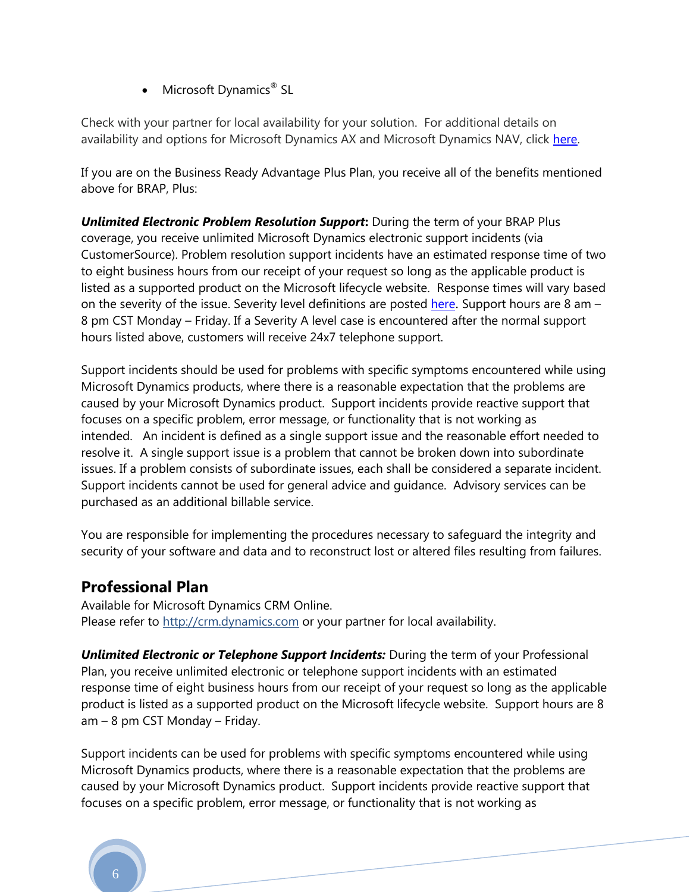• Microsoft Dynamics<sup>®</sup> SL

Check with your partner for local availability for your solution. For additional details on availability and options for Microsoft Dynamics AX and Microsoft Dynamics NAV, click [here.](http://www.microsoft.com/dynamics/customer/en-us/service-plans.aspx)

If you are on the Business Ready Advantage Plus Plan, you receive all of the benefits mentioned above for BRAP, Plus:

*Unlimited Electronic Problem Resolution Support***:** During the term of your BRAP Plus coverage, you receive unlimited Microsoft Dynamics electronic support incidents (via CustomerSource). Problem resolution support incidents have an estimated response time of two to eight business hours from our receipt of your request so long as the applicable product is listed as a supported product on the Microsoft lifecycle website. Response times will vary based on the severity of the issue. Severity level definitions are posted [here](https://mbs.microsoft.com/Cms/Templates/document/General.aspx?NRMODE=Published&NRNODEGUID=%7b9809B0A1-9914-4927-9710-B7C297F99676%7d&NRORIGINALURL=/customersource/serviceplans/MSD_ERPCustomerSupportOfferings&NRCACHEHINT=Guest&wa=wsignin1.0). Support hours are 8 am – 8 pm CST Monday – Friday. If a Severity A level case is encountered after the normal support hours listed above, customers will receive 24x7 telephone support.

Support incidents should be used for problems with specific symptoms encountered while using Microsoft Dynamics products, where there is a reasonable expectation that the problems are caused by your Microsoft Dynamics product. Support incidents provide reactive support that focuses on a specific problem, error message, or functionality that is not working as intended. An incident is defined as a single support issue and the reasonable effort needed to resolve it. A single support issue is a problem that cannot be broken down into subordinate issues. If a problem consists of subordinate issues, each shall be considered a separate incident. Support incidents cannot be used for general advice and guidance. Advisory services can be purchased as an additional billable service.

You are responsible for implementing the procedures necessary to safeguard the integrity and security of your software and data and to reconstruct lost or altered files resulting from failures.

## **Professional Plan**

Available for Microsoft Dynamics CRM Online. Please refer to [http://crm.dynamics.com](http://crm.dynamics.com/) or your partner for local availability.

*Unlimited Electronic or Telephone Support Incidents:* During the term of your Professional Plan, you receive unlimited electronic or telephone support incidents with an estimated response time of eight business hours from our receipt of your request so long as the applicable product is listed as a supported product on the Microsoft lifecycle website. Support hours are 8 am – 8 pm CST Monday – Friday.

Support incidents can be used for problems with specific symptoms encountered while using Microsoft Dynamics products, where there is a reasonable expectation that the problems are caused by your Microsoft Dynamics product. Support incidents provide reactive support that focuses on a specific problem, error message, or functionality that is not working as